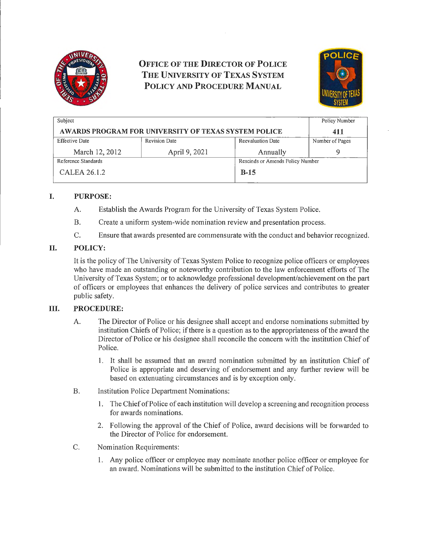

# **OFFICE OF THE DIRECTOR OF POLICE THE UNIVERSITY OF TEXAS SYSTEM POLICY AND PROCEDURE MANUAL**



| Subject                                                     |                      |                                  | Policy Number   |  |
|-------------------------------------------------------------|----------------------|----------------------------------|-----------------|--|
| <b>AWARDS PROGRAM FOR UNIVERSITY OF TEXAS SYSTEM POLICE</b> |                      |                                  | 411             |  |
| <b>Effective Date</b>                                       | <b>Revision Date</b> | Reevaluation Date                | Number of Pages |  |
| March 12, 2012                                              | April 9, 2021        | Annually                         | Q               |  |
| Reference Standards                                         |                      | Rescinds or Amends Policy Number |                 |  |
| CALEA 26.1.2                                                |                      | $B-15$                           |                 |  |

### I. **PURPOSE:**

- A. Establish the Awards Program for the University of Texas System Police.
- B. Create a uniform system-wide nomination review and presentation process.
- C. Ensure that awards presented are commensurate with the conduct and behavior recognized.

#### II. **POLICY:**

It is the policy of The University of Texas System Police to recognize police officers or employees who have made an outstanding or noteworthy contribution to the law enforcement efforts of The University of Texas System; or to acknowledge professional development/achievement on the pati of officers or employees that enhances the delivery of police services and contributes to greater public safety.

#### III. **PROCEDURE:**

- A. The Director of Police or his designee shall accept and endorse nominations submitted by institution Chiefs of Police; ifthere is a question as to the appropriateness of the award the Director of Police or his designee shall reconcile the concern with the institution Chief of Police.
	- 1. It shall be assumed that an award nomination submitted by an institution Chief of Police is appropriate and deserving of endorsement and any further review will be based on extenuating circumstances and is by exception only.
- B. Institution Police Department Nominations:
	- 1. The Chief of Police of each institution will develop a screening and recognition process for awards nominations.
	- 2. Following the approval of the Chief of Police, award decisions will be forwarded to the Director of Police for endorsement.
- C. Nomination Requirements:
	- 1. Any police officer or employee may nominate another police officer or employee for an award. Nominations will be submitted to the institution Chief of Police.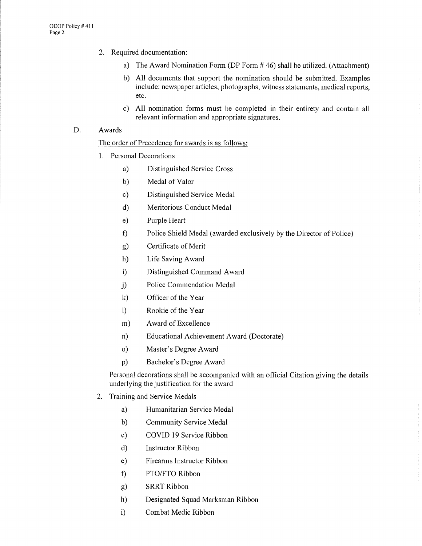- 2. Required documentation:
	- a) The Award Nomination Form (DP Form  $#46$ ) shall be utilized. (Attachment)
	- b) All documents that support the nomination should be submitted. Examples include: newspaper articles, photographs, witness statements, medical reports, etc.
	- c) All nomination forms must be completed in their entirety and contain all relevant information and appropriate signatures.

#### D. Awards

The order of Precedence for awards is as follows:

- 1. Personal Decorations
	- a) Distinguished Service Cross
	- b) Medal of Valor
	- c) Distinguished Service Medal
	- d) Meritorious Conduct Medal
	- e) Purple Heart
	- f) Police Shield Medal (awarded exclusively by the Director of Police)
	- g) Certificate of Merit
	- h) Life Saving Award
	- i) Distinguished Command Award
	- j) Police Commendation Medal
	- k) Officer of the Year
	- l) Rookie of the Year
	- m) Award of Excellence
	- n) Educational Achievement Award (Doctorate)
	- o) Master's Degree Award
	- p) Bachelor's Degree Award

Personal decorations shall be accompanied with an official Citation giving the details underlying the justification for the award

- 2. Training and Service Medals
	- a) Humanitarian Service Medal
	- b) Community Service Medal
	- c) COVID 19 Service Ribbon
	- d) Instructor Ribbon
	- e) Firearms Instructor Ribbon
	- f) PTO/FTO Ribbon
	- g) SRRTRibbon
	- h) Designated Squad Marksman Ribbon
	- i) Combat Medic Ribbon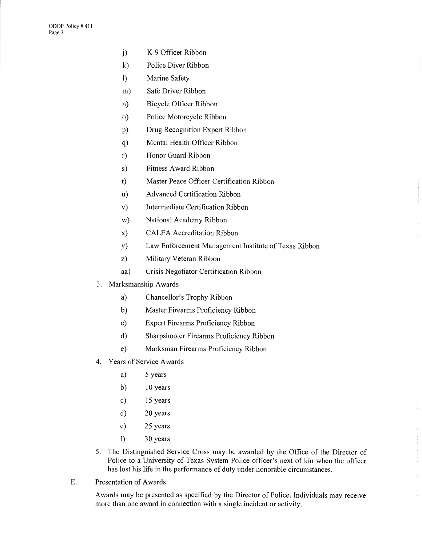- j) K-9 Officer Ribbon
- k) Police Diver Ribbon
- 1) Marine Safety
- m) Safe Driver Ribbon
- n) Bicycle Officer Ribbon
- o) Police Motorcycle Ribbon
- p) Drug Recognition Expert Ribbon
- q) Mental Health Officer Ribbon
- r) Honor Guard Ribbon
- s) Fitness Award Ribbon
- t) Master Peace Officer Certification Ribbon
- u) Advanced Certification Ribbon
- v) Intermediate Certification Ribbon
- w) National Academy Ribbon
- x) CALEA Accreditation Ribbon
- y) Law Enforcement Management Institute of Texas Ribbon
- z) Military Veteran Ribbon
- aa) Crisis Negotiator Certification Ribbon
- 3. Marksmanship Awards
	- a) Chancellor's Trophy Ribbon
	- b) Master Firearms Proficiency Ribbon
	- c) Expert Firearms Proficiency Ribbon
	- d) Sharpshooter Firearms Proficiency Ribbon
	- e) Marksman Firearms Proficiency Ribbon
- 4. Years of Service Awards
	- a) 5 years
	- b) 10 years
	- c) 15 years
	- d) 20 years
	- e) 25 years
	- t) 30 years
- 5. The Distinguished Service Cross may be awarded by the Office of the Director of Police to a University of Texas System Police officer's next of kin when the officer has lost his life in the performance of duty under honorable circumstances.
- E. Presentation of Awards:

Awards may be presented as specified by the Director of Police. Individuals may receive more than one award in connection with a single incident or activity.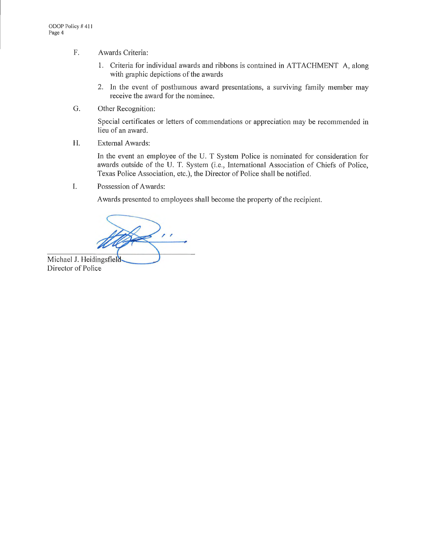- F. Awards Criteria:
	- 1. Criteria for individual awards and ribbons is contained in ATTACHMENT A, along with graphic depictions of the awards
	- 2. In the event of posthumous award presentations, a surviving family member may receive the award for the nominee.
- G. Other Recognition:

Special certificates or letters of commendations or appreciation may be recommended in lieu of an award.

H. External Awards:

In the event an employee of the U. T System Police is nominated for consideration for awards outside of the U. T. System (i.e., International Association of Chiefs of Police, Texas Police Association, etc.), the Director of Police shall be notified.

I. Possession of Awards:

Awards presented to employees shall become the property of the recipient.

/ *r* 

Michael J. Heidingsfield Director of Police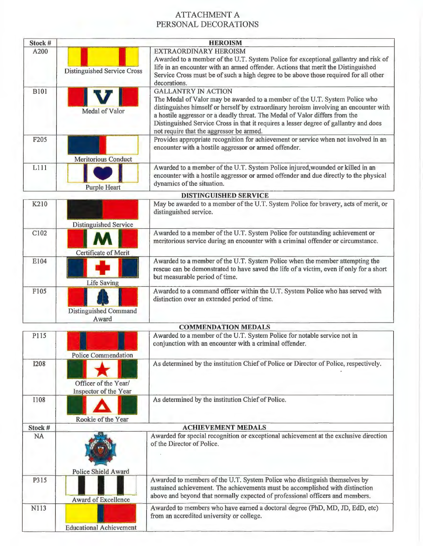## ATTACHMENT A PERSONAL DECORATIONS

| Stock #     |                                               | <b>HEROISM</b>                                                                                                                                                                                                                                                                                                                                                                                                         |
|-------------|-----------------------------------------------|------------------------------------------------------------------------------------------------------------------------------------------------------------------------------------------------------------------------------------------------------------------------------------------------------------------------------------------------------------------------------------------------------------------------|
| A200        | <b>Distinguished Service Cross</b>            | EXTRAORDINARY HEROISM<br>Awarded to a member of the U.T. System Police for exceptional gallantry and risk of<br>life in an encounter with an armed offender. Actions that merit the Distinguished<br>Service Cross must be of such a high degree to be above those required for all other<br>decorations.                                                                                                              |
| <b>B101</b> | Medal of Valor                                | <b>GALLANTRY IN ACTION</b><br>The Medal of Valor may be awarded to a member of the U.T. System Police who<br>distinguishes himself or herself by extraordinary heroism involving an encounter with<br>a hostile aggressor or a deadly threat. The Medal of Valor differs from the<br>Distinguished Service Cross in that it requires a lesser degree of gallantry and does<br>not require that the aggressor be armed. |
| F205        | <b>Meritorious Conduct</b>                    | Provides appropriate recognition for achievement or service when not involved in an<br>encounter with a hostile aggressor or armed offender.                                                                                                                                                                                                                                                                           |
| L111        | <b>Purple Heart</b>                           | Awarded to a member of the U.T. System Police injured, wounded or killed in an<br>encounter with a hostile aggressor or armed offender and due directly to the physical<br>dynamics of the situation.                                                                                                                                                                                                                  |
|             |                                               | <b>DISTINGUISHED SERVICE</b>                                                                                                                                                                                                                                                                                                                                                                                           |
| K210        | <b>Distinguished Service</b>                  | May be awarded to a member of the U.T. System Police for bravery, acts of merit, or<br>distinguished service.                                                                                                                                                                                                                                                                                                          |
| C102        | <b>Certificate of Merit</b>                   | Awarded to a member of the U.T. System Police for outstanding achievement or<br>meritorious service during an encounter with a criminal offender or circumstance.                                                                                                                                                                                                                                                      |
| E104        | <b>Life Saving</b>                            | Awarded to a member of the U.T. System Police when the member attempting the<br>rescue can be demonstrated to have saved the life of a victim, even if only for a short<br>but measurable period of time.                                                                                                                                                                                                              |
| F105        | <b>Distinguished Command</b><br>Award         | Awarded to a command officer within the U.T. System Police who has served with<br>distinction over an extended period of time.                                                                                                                                                                                                                                                                                         |
|             |                                               | <b>COMMENDATION MEDALS</b>                                                                                                                                                                                                                                                                                                                                                                                             |
| P115        | <b>Police Commendation</b>                    | Awarded to a member of the U.T. System Police for notable service not in<br>conjunction with an encounter with a criminal offender.                                                                                                                                                                                                                                                                                    |
| <b>I208</b> | Officer of the Year/<br>Inspector of the Year | As determined by the institution Chief of Police or Director of Police, respectively.                                                                                                                                                                                                                                                                                                                                  |
| I108        | Rookie of the Year                            | As determined by the institution Chief of Police.                                                                                                                                                                                                                                                                                                                                                                      |
| Stock #     |                                               | <b>ACHIEVEMENT MEDALS</b>                                                                                                                                                                                                                                                                                                                                                                                              |
| <b>NA</b>   | <b>Police Shield Award</b>                    | Awarded for special recognition or exceptional achievement at the exclusive direction<br>of the Director of Police.                                                                                                                                                                                                                                                                                                    |
| P315        | Award of Excellence                           | Awarded to members of the U.T. System Police who distinguish themselves by<br>sustained achievement. The achievements must be accomplished with distinction<br>above and beyond that normally expected of professional officers and members.                                                                                                                                                                           |
| N113        | <b>Educational Achievement</b>                | Awarded to members who have earned a doctoral degree (PhD, MD, JD, EdD, etc)<br>from an accredited university or college.                                                                                                                                                                                                                                                                                              |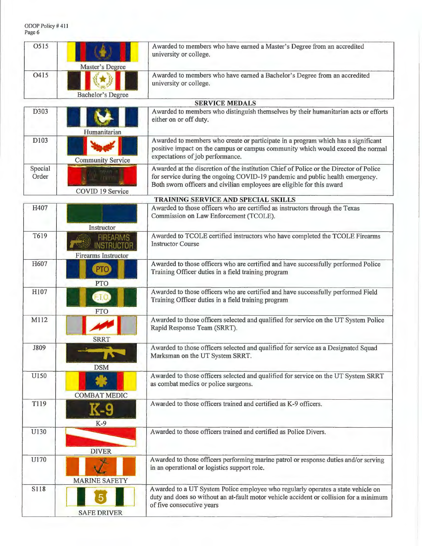| O515             | Master's Degree                                                    | Awarded to members who have earned a Master's Degree from an accredited<br>university or college.                                                                                                                                                 |
|------------------|--------------------------------------------------------------------|---------------------------------------------------------------------------------------------------------------------------------------------------------------------------------------------------------------------------------------------------|
| O415             | Bachelor's Degree                                                  | Awarded to members who have earned a Bachelor's Degree from an accredited<br>university or college.                                                                                                                                               |
|                  |                                                                    | <b>SERVICE MEDALS</b>                                                                                                                                                                                                                             |
| D303             | Humanitarian                                                       | Awarded to members who distinguish themselves by their humanitarian acts or efforts<br>either on or off duty.                                                                                                                                     |
| D103             | <b>Community Service</b>                                           | Awarded to members who create or participate in a program which has a significant<br>positive impact on the campus or campus community which would exceed the normal<br>expectations of job performance.                                          |
| Special<br>Order | <b>AFC ME</b><br>COVID 19 Service                                  | Awarded at the discretion of the institution Chief of Police or the Director of Police<br>for service during the ongoing COVID-19 pandemic and public health emergency.<br>Both sworn officers and civilian employees are eligible for this award |
|                  |                                                                    | TRAINING SERVICE AND SPECIAL SKILLS                                                                                                                                                                                                               |
| H407             | Instructor                                                         | Awarded to those officers who are certified as instructors through the Texas<br>Commission on Law Enforcement (TCOLE).                                                                                                                            |
| T619             | <b>FIREARMS</b><br><b>INSTRUCTOR</b><br><b>Firearms Instructor</b> | Awarded to TCOLE certified instructors who have completed the TCOLE Firearms<br><b>Instructor Course</b>                                                                                                                                          |
| H607             | <b>PTO</b><br><b>PTO</b>                                           | Awarded to those officers who are certified and have successfully performed Police<br>Training Officer duties in a field training program                                                                                                         |
| H107             | F.T.O<br><b>FTO</b>                                                | Awarded to those officers who are certified and have successfully performed Field<br>Training Officer duties in a field training program                                                                                                          |
| M112             | <b>SRRT</b>                                                        | Awarded to those officers selected and qualified for service on the UT System Police<br>Rapid Response Team (SRRT).                                                                                                                               |
| J809             | <b>DSM</b>                                                         | Awarded to those officers selected and qualified for service as a Designated Squad<br>Marksman on the UT System SRRT.                                                                                                                             |
| U150             | <b>COMBAT MEDIC</b>                                                | Awarded to those officers selected and qualified for service on the UT System SRRT<br>as combat medics or police surgeons.                                                                                                                        |
| T119             | K-9<br>$K-9$                                                       | Awarded to those officers trained and certified as K-9 officers.                                                                                                                                                                                  |
| U130             | <b>DIVER</b>                                                       | Awarded to those officers trained and certified as Police Divers.                                                                                                                                                                                 |
| U170             | <b>MARINE SAFETY</b>                                               | Awarded to those officers performing marine patrol or response duties and/or serving<br>in an operational or logistics support role.                                                                                                              |
| S118             | <b>SAFE DRIVER</b>                                                 | Awarded to a UT System Police employee who regularly operates a state vehicle on<br>duty and does so without an at-fault motor vehicle accident or collision for a minimum<br>of five consecutive years                                           |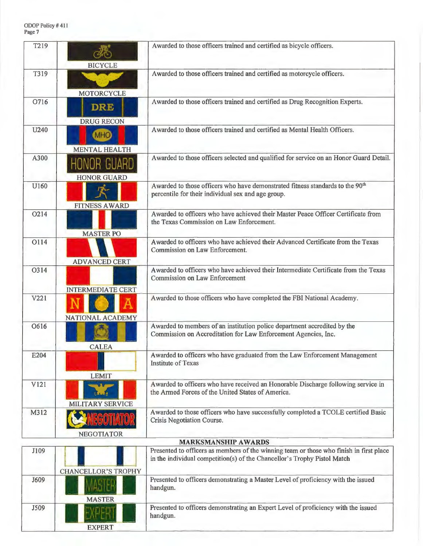EXPERT

EAMEN.

handgun.

| T219 | <b>BICYCLE</b>                           | Awarded to those officers trained and certified as bicycle officers.                                                                                                |
|------|------------------------------------------|---------------------------------------------------------------------------------------------------------------------------------------------------------------------|
| T319 | <b>MOTORCYCLE</b>                        | Awarded to those officers trained and certified as motorcycle officers.                                                                                             |
| O716 | <b>DRE</b><br><b>DRUG RECON</b>          | Awarded to those officers trained and certified as Drug Recognition Experts.                                                                                        |
| U240 | (MHO)<br><b>MENTAL HEALTH</b>            | Awarded to those officers trained and certified as Mental Health Officers.                                                                                          |
| A300 | <b>HONOR GUARD</b><br><b>HONOR GUARD</b> | Awarded to those officers selected and qualified for service on an Honor Guard Detail.                                                                              |
| U160 | <b>FITNESS AWARD</b>                     | Awarded to those officers who have demonstrated fitness standards to the 90 <sup>th</sup><br>percentile for their individual sex and age group.                     |
| O214 | <b>MASTER PO</b>                         | Awarded to officers who have achieved their Master Peace Officer Certificate from<br>the Texas Commission on Law Enforcement.                                       |
| O114 | <b>ADVANCED CERT</b>                     | Awarded to officers who have achieved their Advanced Certificate from the Texas<br>Commission on Law Enforcement.                                                   |
| O314 | <b>INTERMEDIATE CERT</b>                 | Awarded to officers who have achieved their Intermediate Certificate from the Texas<br><b>Commission on Law Enforcement</b>                                         |
| V221 | <b>NATIONAL ACADEMY</b>                  | Awarded to those officers who have completed the FBI National Academy.                                                                                              |
| O616 | <b>CALEA</b>                             | Awarded to members of an institution police department accredited by the<br>Commission on Accreditation for Law Enforcement Agencies, Inc.                          |
| E204 | <b>LEMIT</b>                             | Awarded to officers who have graduated from the Law Enforcement Management<br><b>Institute of Texas</b>                                                             |
| V121 | <b>MILITARY SERVICE</b>                  | Awarded to officers who have received an Honorable Discharge following service in<br>the Armed Forces of the United States of America.                              |
| M312 | <b>NEGOTIATOR</b>                        | Awarded to those officers who have successfully completed a TCOLE certified Basic<br>Crisis Negotiation Course.                                                     |
|      |                                          | <b>MARKSMANSHIP AWARDS</b>                                                                                                                                          |
| J109 | <b>CHANCELLOR'S TROPHY</b>               | Presented to officers as members of the winning team or those who finish in first place<br>in the individual competition(s) of the Chancellor's Trophy Pistol Match |
| J609 | <b>MASTER</b>                            | Presented to officers demonstrating a Master Level of proficiency with the issued<br>handgun.                                                                       |
| J509 |                                          | Presented to officers demonstrating an Expert Level of proficiency with the issued                                                                                  |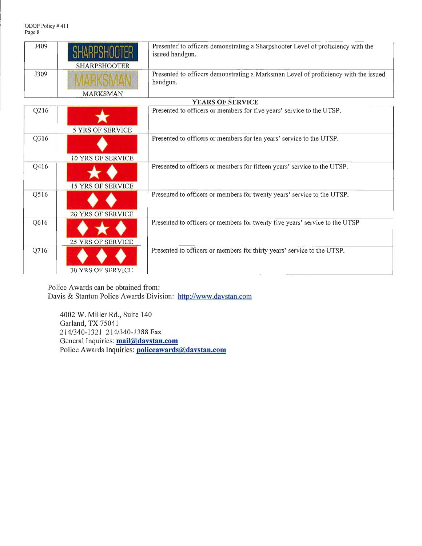ODOP Policy# 411 Page 8

| J409  | SHARPSHOOTER        | Presented to officers demonstrating a Sharpshooter Level of proficiency with the<br>issued handgun. |
|-------|---------------------|-----------------------------------------------------------------------------------------------------|
|       | <b>SHARPSHOOTER</b> |                                                                                                     |
| J309- | MARKSMAN            | Presented to officers demonstrating a Marksman Level of proficiency with the issued<br>handgun.     |
|       | <b>MARKSMAN</b>     |                                                                                                     |

|      |                          | <b>YEARS OF SERVICE</b>                                                     |
|------|--------------------------|-----------------------------------------------------------------------------|
| Q216 | <b>5 YRS OF SERVICE</b>  | Presented to officers or members for five years' service to the UTSP.       |
|      |                          |                                                                             |
| Q316 | 10 YRS OF SERVICE        | Presented to officers or members for ten years' service to the UTSP.        |
|      |                          |                                                                             |
| Q416 | <b>15 YRS OF SERVICE</b> | Presented to officers or members for fifteen years' service to the UTSP.    |
| Q516 |                          | Presented to officers or members for twenty years' service to the UTSP.     |
|      | <b>20 YRS OF SERVICE</b> |                                                                             |
| Q616 | <b>25 YRS OF SERVICE</b> | Presented to officers or members for twenty five years' service to the UTSP |
| Q716 | <b>30 YRS OF SERVICE</b> | Presented to officers or members for thirty years' service to the UTSP.     |

Police Awards can be obtained from: Davis & Stanton Police Awards Division: http://www.davstan.com

4002 W. Miller Rd., Suite 140 Garland, TX 75041 214/340-1321 214/340-1388 Fax General Inquiries: **mail@davstan.com**  Police Awards Inquiries: **policeawards@davstan.com**